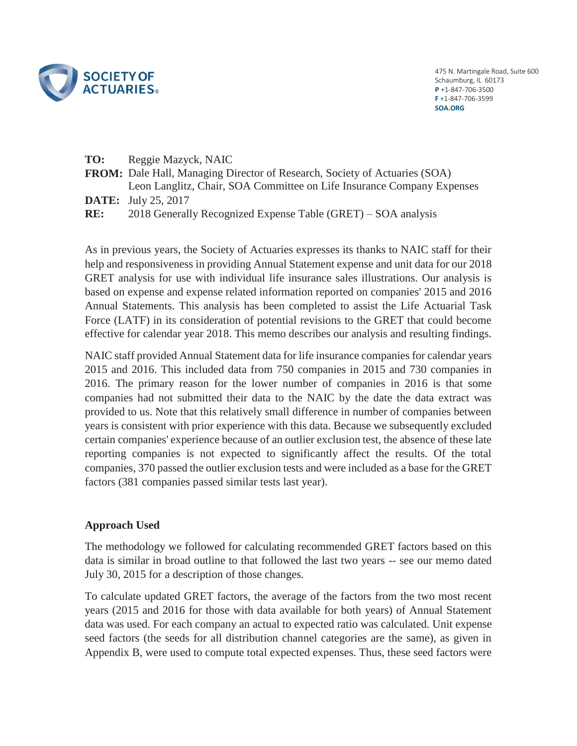

475 N. Martingale Road, Suite 600 Schaumburg, IL 60173 **P** +1-847-706-3500 **F** +1-847-706-3599 **SOA.ORG**

**TO:** Reggie Mazyck, NAIC

- **FROM:** Dale Hall, Managing Director of Research, Society of Actuaries (SOA) Leon Langlitz, Chair, SOA Committee on Life Insurance Company Expenses **DATE:** July 25, 2017
- **RE:** 2018 Generally Recognized Expense Table (GRET) SOA analysis

As in previous years, the Society of Actuaries expresses its thanks to NAIC staff for their help and responsiveness in providing Annual Statement expense and unit data for our 2018 GRET analysis for use with individual life insurance sales illustrations. Our analysis is based on expense and expense related information reported on companies' 2015 and 2016 Annual Statements. This analysis has been completed to assist the Life Actuarial Task Force (LATF) in its consideration of potential revisions to the GRET that could become effective for calendar year 2018. This memo describes our analysis and resulting findings.

NAIC staff provided Annual Statement data for life insurance companies for calendar years 2015 and 2016. This included data from 750 companies in 2015 and 730 companies in 2016. The primary reason for the lower number of companies in 2016 is that some companies had not submitted their data to the NAIC by the date the data extract was provided to us. Note that this relatively small difference in number of companies between years is consistent with prior experience with this data. Because we subsequently excluded certain companies' experience because of an outlier exclusion test, the absence of these late reporting companies is not expected to significantly affect the results. Of the total companies, 370 passed the outlier exclusion tests and were included as a base for the GRET factors (381 companies passed similar tests last year).

#### **Approach Used**

The methodology we followed for calculating recommended GRET factors based on this data is similar in broad outline to that followed the last two years -- see our memo dated July 30, 2015 for a description of those changes.

To calculate updated GRET factors, the average of the factors from the two most recent years (2015 and 2016 for those with data available for both years) of Annual Statement data was used. For each company an actual to expected ratio was calculated. Unit expense seed factors (the seeds for all distribution channel categories are the same), as given in Appendix B, were used to compute total expected expenses. Thus, these seed factors were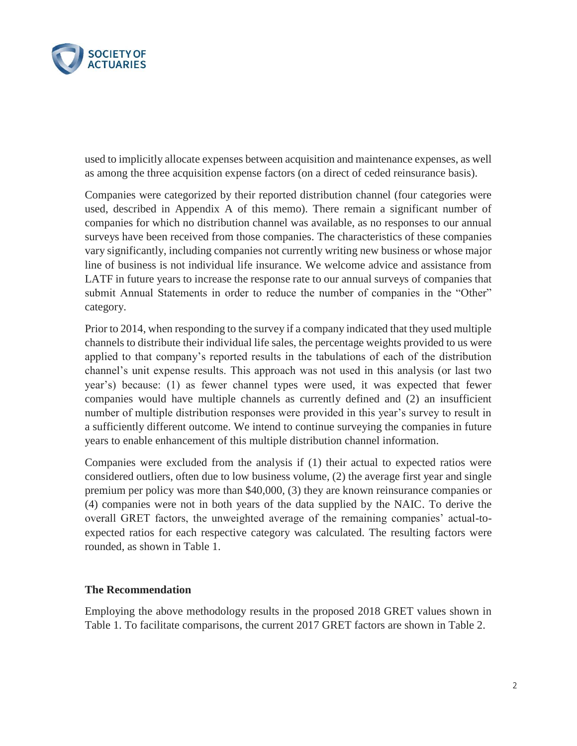

used to implicitly allocate expenses between acquisition and maintenance expenses, as well as among the three acquisition expense factors (on a direct of ceded reinsurance basis).

Companies were categorized by their reported distribution channel (four categories were used, described in Appendix A of this memo). There remain a significant number of companies for which no distribution channel was available, as no responses to our annual surveys have been received from those companies. The characteristics of these companies vary significantly, including companies not currently writing new business or whose major line of business is not individual life insurance. We welcome advice and assistance from LATF in future years to increase the response rate to our annual surveys of companies that submit Annual Statements in order to reduce the number of companies in the "Other" category.

Prior to 2014, when responding to the survey if a company indicated that they used multiple channels to distribute their individual life sales, the percentage weights provided to us were applied to that company's reported results in the tabulations of each of the distribution channel's unit expense results. This approach was not used in this analysis (or last two year's) because: (1) as fewer channel types were used, it was expected that fewer companies would have multiple channels as currently defined and (2) an insufficient number of multiple distribution responses were provided in this year's survey to result in a sufficiently different outcome. We intend to continue surveying the companies in future years to enable enhancement of this multiple distribution channel information.

Companies were excluded from the analysis if (1) their actual to expected ratios were considered outliers, often due to low business volume, (2) the average first year and single premium per policy was more than \$40,000, (3) they are known reinsurance companies or (4) companies were not in both years of the data supplied by the NAIC. To derive the overall GRET factors, the unweighted average of the remaining companies' actual-toexpected ratios for each respective category was calculated. The resulting factors were rounded, as shown in Table 1.

# **The Recommendation**

Employing the above methodology results in the proposed 2018 GRET values shown in Table 1. To facilitate comparisons, the current 2017 GRET factors are shown in Table 2.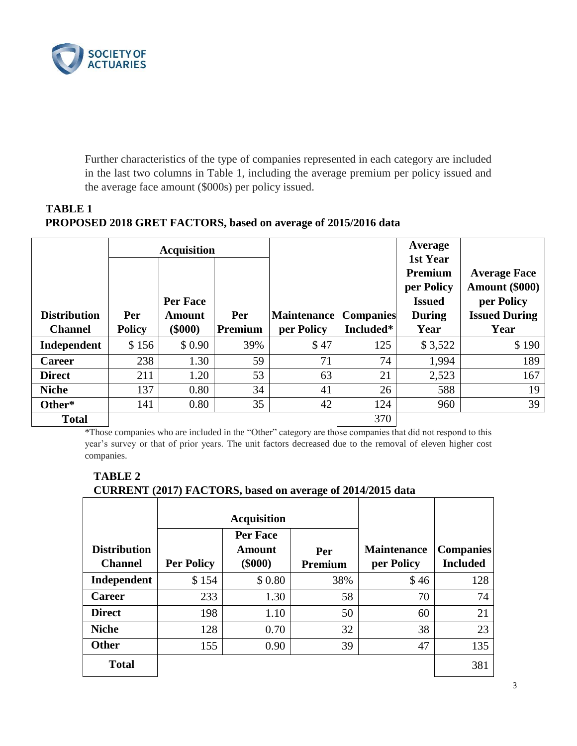

Further characteristics of the type of companies represented in each category are included in the last two columns in Table 1, including the average premium per policy issued and the average face amount (\$000s) per policy issued.

# **TABLE 1 PROPOSED 2018 GRET FACTORS, based on average of 2015/2016 data**

|                     |               | <b>Acquisition</b> |                |                    |                  | Average<br>1st Year                    |                                                            |
|---------------------|---------------|--------------------|----------------|--------------------|------------------|----------------------------------------|------------------------------------------------------------|
|                     |               | Per Face           |                |                    |                  | Premium<br>per Policy<br><b>Issued</b> | <b>Average Face</b><br><b>Amount (\$000)</b><br>per Policy |
| <b>Distribution</b> | Per           | <b>Amount</b>      | Per            | <b>Maintenance</b> | <b>Companies</b> | <b>During</b>                          | <b>Issued During</b>                                       |
| <b>Channel</b>      | <b>Policy</b> | \$000              | <b>Premium</b> | per Policy         | Included*        | Year                                   | Year                                                       |
| Independent         | \$156         | \$0.90             | 39%            | \$47               | 125              | \$3,522                                | \$190                                                      |
| <b>Career</b>       | 238           | 1.30               | 59             | 71                 | 74               | 1,994                                  | 189                                                        |
| <b>Direct</b>       | 211           | 1.20               | 53             | 63                 | 21               | 2,523                                  | 167                                                        |
| <b>Niche</b>        | 137           | 0.80               | 34             | 41                 | 26               | 588                                    | 19                                                         |
| Other*              | 141           | 0.80               | 35             | 42                 | 124              | 960                                    | 39                                                         |
| <b>Total</b>        |               |                    |                |                    | 370              |                                        |                                                            |

\*Those companies who are included in the "Other" category are those companies that did not respond to this year's survey or that of prior years. The unit factors decreased due to the removal of eleven higher cost companies.

| CURRENT (2017) FACTORS, based on average of 2014/2015 data |                   |                                 |                |                                  |                                     |  |  |
|------------------------------------------------------------|-------------------|---------------------------------|----------------|----------------------------------|-------------------------------------|--|--|
|                                                            |                   | <b>Acquisition</b>              |                |                                  |                                     |  |  |
| <b>Distribution</b><br><b>Channel</b>                      | <b>Per Policy</b> | Per Face<br>Amount<br>$(\$000)$ | Per<br>Premium | <b>Maintenance</b><br>per Policy | <b>Companies</b><br><b>Included</b> |  |  |
| Independent                                                | \$154             | \$0.80                          | 38%            | \$46                             | 128                                 |  |  |
| <b>Career</b>                                              | 233               | 1.30                            | 58             | 70                               | 74                                  |  |  |
| <b>Direct</b>                                              | 198               | 1.10                            | 50             | 60                               | 21                                  |  |  |
| <b>Niche</b>                                               | 128               | 0.70                            | 32             | 38                               | 23                                  |  |  |
| <b>Other</b>                                               | 155               | 0.90                            | 39             | 47                               | 135                                 |  |  |
| <b>Total</b>                                               |                   |                                 |                |                                  | 381                                 |  |  |

# **TABLE 2**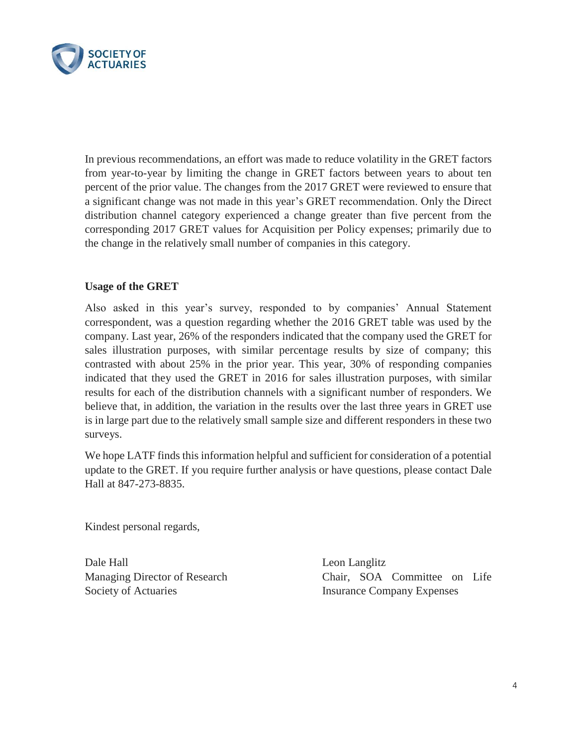

In previous recommendations, an effort was made to reduce volatility in the GRET factors from year-to-year by limiting the change in GRET factors between years to about ten percent of the prior value. The changes from the 2017 GRET were reviewed to ensure that a significant change was not made in this year's GRET recommendation. Only the Direct distribution channel category experienced a change greater than five percent from the corresponding 2017 GRET values for Acquisition per Policy expenses; primarily due to the change in the relatively small number of companies in this category.

#### **Usage of the GRET**

Also asked in this year's survey, responded to by companies' Annual Statement correspondent, was a question regarding whether the 2016 GRET table was used by the company. Last year, 26% of the responders indicated that the company used the GRET for sales illustration purposes, with similar percentage results by size of company; this contrasted with about 25% in the prior year. This year, 30% of responding companies indicated that they used the GRET in 2016 for sales illustration purposes, with similar results for each of the distribution channels with a significant number of responders. We believe that, in addition, the variation in the results over the last three years in GRET use is in large part due to the relatively small sample size and different responders in these two surveys.

We hope LATF finds this information helpful and sufficient for consideration of a potential update to the GRET. If you require further analysis or have questions, please contact Dale Hall at 847-273-8835.

Kindest personal regards,

Dale Hall **Leon Langlitz** Society of Actuaries **Insurance Company Expenses** 

Managing Director of Research Chair, SOA Committee on Life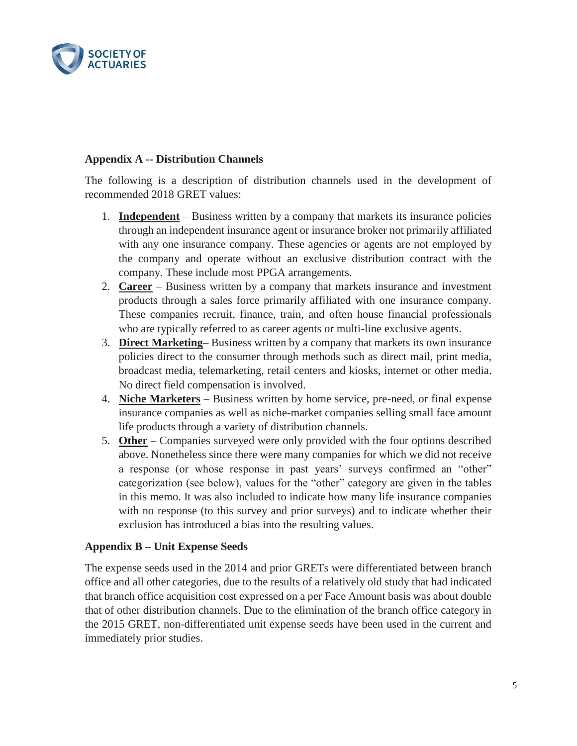

# **Appendix A -- Distribution Channels**

The following is a description of distribution channels used in the development of recommended 2018 GRET values:

- 1. **Independent** Business written by a company that markets its insurance policies through an independent insurance agent or insurance broker not primarily affiliated with any one insurance company. These agencies or agents are not employed by the company and operate without an exclusive distribution contract with the company. These include most PPGA arrangements.
- 2. **Career** Business written by a company that markets insurance and investment products through a sales force primarily affiliated with one insurance company. These companies recruit, finance, train, and often house financial professionals who are typically referred to as career agents or multi-line exclusive agents.
- 3. **Direct Marketing** Business written by a company that markets its own insurance policies direct to the consumer through methods such as direct mail, print media, broadcast media, telemarketing, retail centers and kiosks, internet or other media. No direct field compensation is involved.
- 4. **Niche Marketers** Business written by home service, pre-need, or final expense insurance companies as well as niche-market companies selling small face amount life products through a variety of distribution channels.
- 5. **Other** Companies surveyed were only provided with the four options described above. Nonetheless since there were many companies for which we did not receive a response (or whose response in past years' surveys confirmed an "other" categorization (see below), values for the "other" category are given in the tables in this memo. It was also included to indicate how many life insurance companies with no response (to this survey and prior surveys) and to indicate whether their exclusion has introduced a bias into the resulting values.

# **Appendix B – Unit Expense Seeds**

The expense seeds used in the 2014 and prior GRETs were differentiated between branch office and all other categories, due to the results of a relatively old study that had indicated that branch office acquisition cost expressed on a per Face Amount basis was about double that of other distribution channels. Due to the elimination of the branch office category in the 2015 GRET, non-differentiated unit expense seeds have been used in the current and immediately prior studies.